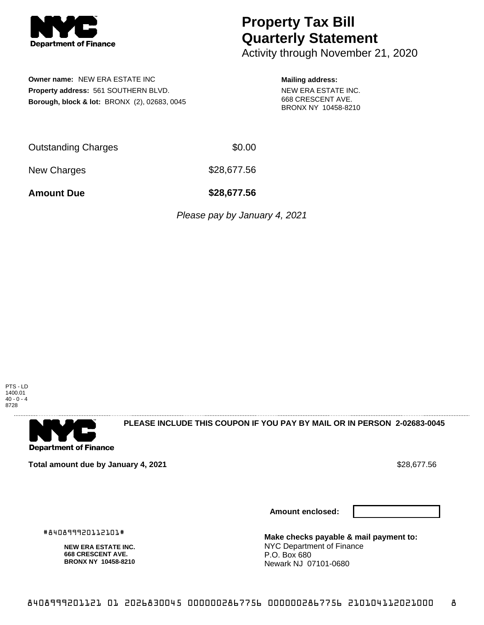

# **Property Tax Bill Quarterly Statement**

Activity through November 21, 2020

# **Owner name:** NEW ERA ESTATE INC **Property address:** 561 SOUTHERN BLVD. **Borough, block & lot:** BRONX (2), 02683, 0045

#### **Mailing address:**

NEW ERA ESTATE INC. 668 CRESCENT AVE. BRONX NY 10458-8210

| <b>Outstanding Charges</b> | \$0.00     |
|----------------------------|------------|
| - -                        | __________ |

New Charges \$28,677.56

**Amount Due \$28,677.56**

Please pay by January 4, 2021



**Department of Finance** 

**PLEASE INCLUDE THIS COUPON IF YOU PAY BY MAIL OR IN PERSON 2-02683-0045** 

**Total amount due by January 4, 2021 \$28,677.56** \$28,677.56

**NEW ERA ESTATE INC. 668 CRESCENT AVE. BRONX NY 10458-8210**

#840899920112101#

**Amount enclosed:**



**Make checks payable & mail payment to:** NYC Department of Finance P.O. Box 680 Newark NJ 07101-0680